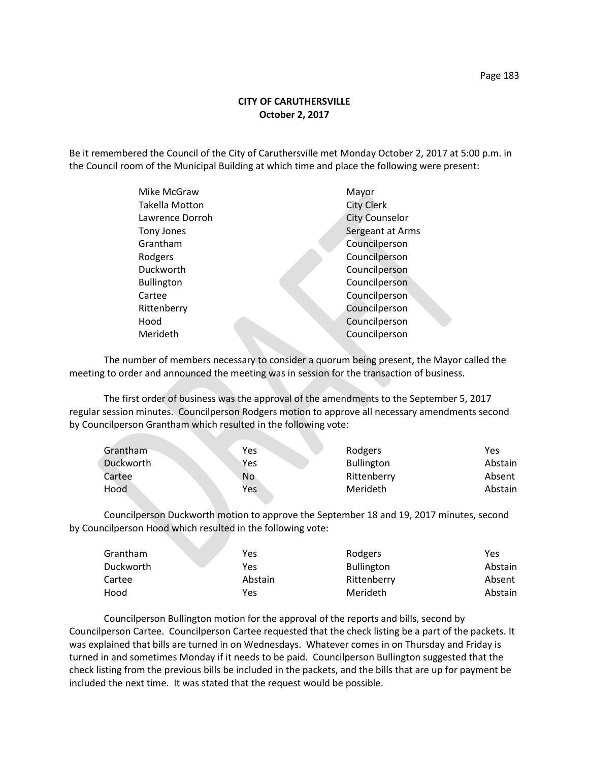## **CITY OF CARUTHERSVILLE October 2, 2017**

Be it remembered the Council of the City of Caruthersville met Monday October 2, 2017 at 5:00 p.m. in the Council room of the Municipal Building at which time and place the following were present:

| Mike McGraw           | Mayor                 |
|-----------------------|-----------------------|
| <b>Takella Motton</b> | <b>City Clerk</b>     |
| Lawrence Dorroh       | <b>City Counselor</b> |
| Tony Jones            | Sergeant at Arms      |
| Grantham              | Councilperson         |
| Rodgers               | Councilperson         |
| Duckworth             | Councilperson         |
| <b>Bullington</b>     | Councilperson         |
| Cartee                | Councilperson         |
| Rittenberry           | Councilperson         |
| Hood                  | Councilperson         |
| Merideth              | Councilperson         |
|                       |                       |

The number of members necessary to consider a quorum being present, the Mayor called the meeting to order and announced the meeting was in session for the transaction of business.

The first order of business was the approval of the amendments to the September 5, 2017 regular session minutes. Councilperson Rodgers motion to approve all necessary amendments second by Councilperson Grantham which resulted in the following vote:

| Grantham  | Yes | Rodgers           | Yes     |
|-----------|-----|-------------------|---------|
| Duckworth | Yes | <b>Bullington</b> | Abstain |
| Cartee    | No  | Rittenberry       | Absent  |
| Hood      | Yes | Merideth          | Abstain |

Councilperson Duckworth motion to approve the September 18 and 19, 2017 minutes, second by Councilperson Hood which resulted in the following vote:

| Grantham  | Yes     | Rodgers           | Yes     |
|-----------|---------|-------------------|---------|
| Duckworth | Yes     | <b>Bullington</b> | Abstain |
| Cartee    | Abstain | Rittenberry       | Absent  |
| Hood      | Yes     | Merideth          | Abstain |

Councilperson Bullington motion for the approval of the reports and bills, second by Councilperson Cartee. Councilperson Cartee requested that the check listing be a part of the packets. It was explained that bills are turned in on Wednesdays. Whatever comes in on Thursday and Friday is turned in and sometimes Monday if it needs to be paid. Councilperson Bullington suggested that the check listing from the previous bills be included in the packets, and the bills that are up for payment be included the next time. It was stated that the request would be possible.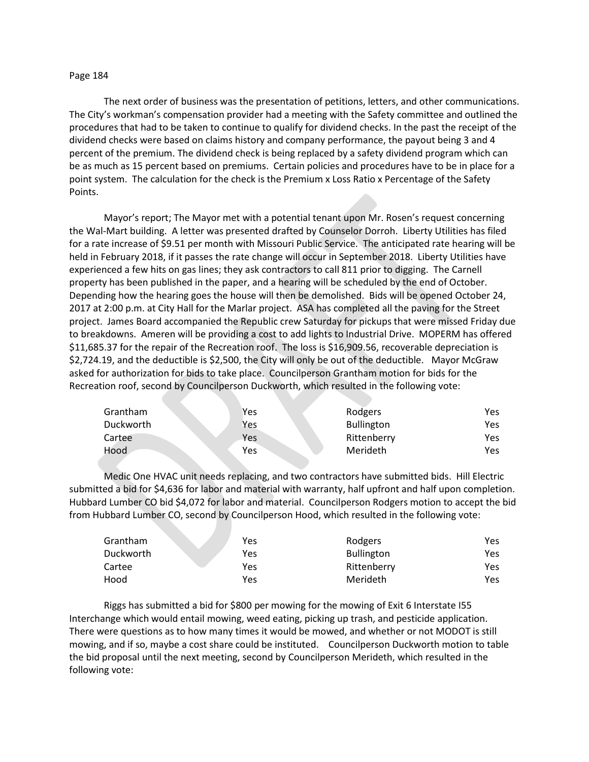## Page 184

The next order of business was the presentation of petitions, letters, and other communications. The City's workman's compensation provider had a meeting with the Safety committee and outlined the procedures that had to be taken to continue to qualify for dividend checks. In the past the receipt of the dividend checks were based on claims history and company performance, the payout being 3 and 4 percent of the premium. The dividend check is being replaced by a safety dividend program which can be as much as 15 percent based on premiums. Certain policies and procedures have to be in place for a point system. The calculation for the check is the Premium x Loss Ratio x Percentage of the Safety Points.

Mayor's report; The Mayor met with a potential tenant upon Mr. Rosen's request concerning the Wal-Mart building. A letter was presented drafted by Counselor Dorroh. Liberty Utilities has filed for a rate increase of \$9.51 per month with Missouri Public Service. The anticipated rate hearing will be held in February 2018, if it passes the rate change will occur in September 2018. Liberty Utilities have experienced a few hits on gas lines; they ask contractors to call 811 prior to digging. The Carnell property has been published in the paper, and a hearing will be scheduled by the end of October. Depending how the hearing goes the house will then be demolished. Bids will be opened October 24, 2017 at 2:00 p.m. at City Hall for the Marlar project. ASA has completed all the paving for the Street project. James Board accompanied the Republic crew Saturday for pickups that were missed Friday due to breakdowns. Ameren will be providing a cost to add lights to Industrial Drive. MOPERM has offered \$11,685.37 for the repair of the Recreation roof. The loss is \$16,909.56, recoverable depreciation is \$2,724.19, and the deductible is \$2,500, the City will only be out of the deductible. Mayor McGraw asked for authorization for bids to take place. Councilperson Grantham motion for bids for the Recreation roof, second by Councilperson Duckworth, which resulted in the following vote:

| Grantham  | Yes | Rodgers           | Yes |
|-----------|-----|-------------------|-----|
| Duckworth | Yes | <b>Bullington</b> | Yes |
| Cartee    | Yes | Rittenberry       | Yes |
| Hood      | Yes | Merideth          | Yes |

Medic One HVAC unit needs replacing, and two contractors have submitted bids. Hill Electric submitted a bid for \$4,636 for labor and material with warranty, half upfront and half upon completion. Hubbard Lumber CO bid \$4,072 for labor and material. Councilperson Rodgers motion to accept the bid from Hubbard Lumber CO, second by Councilperson Hood, which resulted in the following vote:

| Grantham  | Yes | Rodgers           | Yes. |
|-----------|-----|-------------------|------|
| Duckworth | Yes | <b>Bullington</b> | Yes. |
| Cartee    | Yes | Rittenberry       | Yes. |
| Hood      | Yes | Merideth          | Yes. |

Riggs has submitted a bid for \$800 per mowing for the mowing of Exit 6 Interstate I55 Interchange which would entail mowing, weed eating, picking up trash, and pesticide application. There were questions as to how many times it would be mowed, and whether or not MODOT is still mowing, and if so, maybe a cost share could be instituted. Councilperson Duckworth motion to table the bid proposal until the next meeting, second by Councilperson Merideth, which resulted in the following vote: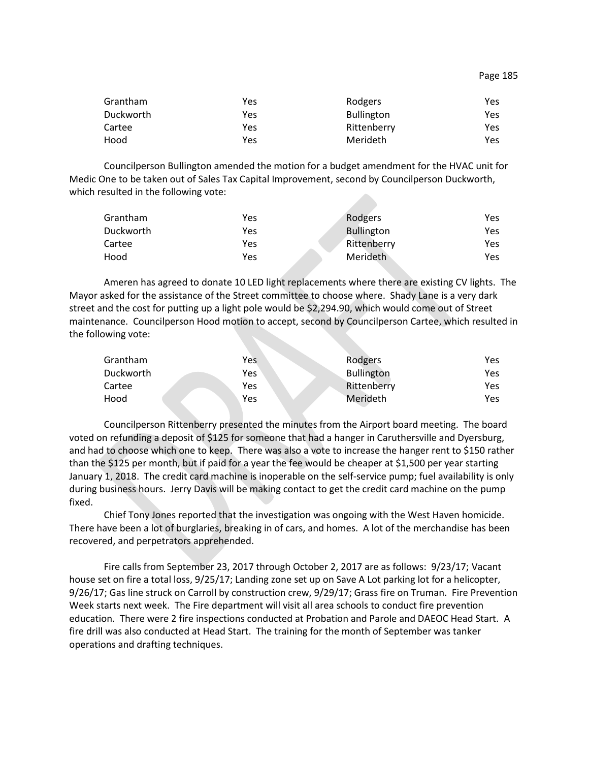| Grantham  | Yes | Rodgers           | Yes |
|-----------|-----|-------------------|-----|
| Duckworth | Yes | <b>Bullington</b> | Yes |
| Cartee    | Yes | Rittenberry       | Yes |
| Hood      | Yes | Merideth          | Yes |

Councilperson Bullington amended the motion for a budget amendment for the HVAC unit for Medic One to be taken out of Sales Tax Capital Improvement, second by Councilperson Duckworth, which resulted in the following vote:

| Grantham  | Yes | Rodgers           | Yes  |
|-----------|-----|-------------------|------|
| Duckworth | Yes | <b>Bullington</b> | Yes  |
| Cartee    | Yes | Rittenberry       | Yes  |
| Hood      | Yes | Merideth          | Yes. |

Ameren has agreed to donate 10 LED light replacements where there are existing CV lights. The Mayor asked for the assistance of the Street committee to choose where. Shady Lane is a very dark street and the cost for putting up a light pole would be \$2,294.90, which would come out of Street maintenance. Councilperson Hood motion to accept, second by Councilperson Cartee, which resulted in the following vote:

| Grantham  | Yes | Rodgers           | Yes |
|-----------|-----|-------------------|-----|
| Duckworth | Yes | <b>Bullington</b> | Yes |
| Cartee    | Yes | Rittenberry       | Yes |
| Hood      | Yes | Merideth          | Yes |

Councilperson Rittenberry presented the minutes from the Airport board meeting. The board voted on refunding a deposit of \$125 for someone that had a hanger in Caruthersville and Dyersburg, and had to choose which one to keep. There was also a vote to increase the hanger rent to \$150 rather than the \$125 per month, but if paid for a year the fee would be cheaper at \$1,500 per year starting January 1, 2018. The credit card machine is inoperable on the self-service pump; fuel availability is only during business hours. Jerry Davis will be making contact to get the credit card machine on the pump fixed.

Chief Tony Jones reported that the investigation was ongoing with the West Haven homicide. There have been a lot of burglaries, breaking in of cars, and homes. A lot of the merchandise has been recovered, and perpetrators apprehended.

Fire calls from September 23, 2017 through October 2, 2017 are as follows: 9/23/17; Vacant house set on fire a total loss, 9/25/17; Landing zone set up on Save A Lot parking lot for a helicopter, 9/26/17; Gas line struck on Carroll by construction crew, 9/29/17; Grass fire on Truman. Fire Prevention Week starts next week. The Fire department will visit all area schools to conduct fire prevention education. There were 2 fire inspections conducted at Probation and Parole and DAEOC Head Start. A fire drill was also conducted at Head Start. The training for the month of September was tanker operations and drafting techniques.